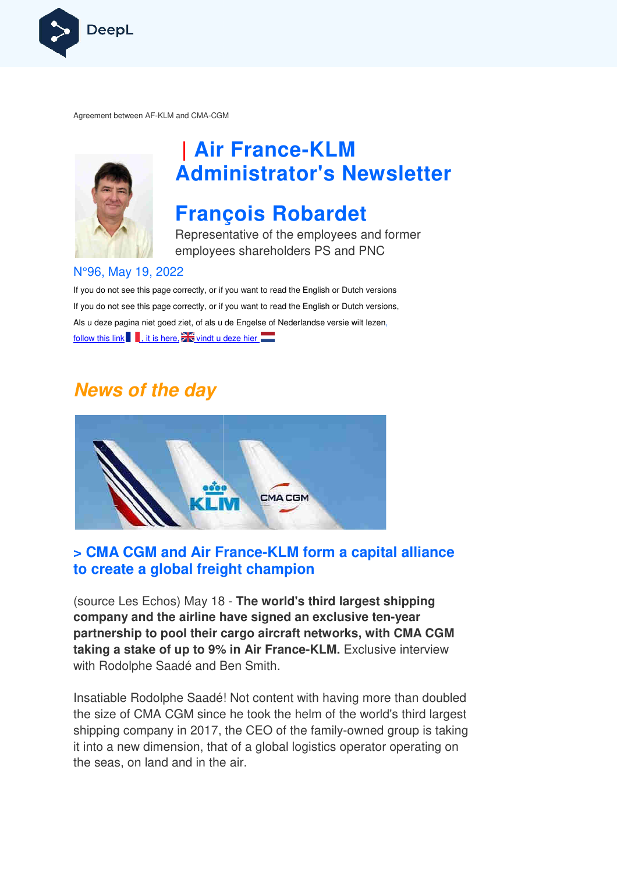

Agreement between AF-KLM and CMA-CGM



# **| Air France France-KLM Administrator's Newsletter**

## **François Robardet**

Representative of the employees and former employees shareholders PS and PNC

#### N°96, May 19, 2022

If you do not see this page correctly, or if you want to read the English or Dutch versions If you do not see this page correctly, or if you want to read the English or Dutch versions, Als u deze pagina niet goed ziet, of als u de Engelse of Nederlandse versie wilt lezen, follow this link  $\blacksquare$ , it is here,  $\mathbb{Z}$  vindt u deze hier

### **News of the day**



### **> CMA CGM and Air France France-KLM form a capital alliance KLM to create a global freight champion**

(source Les Echos) May 18 - **The world's third largest shipping company and the airline have signed an exclusive ten ten-year partnership to pool their cargo aircraft networks, with CMA CGM taking a stake of up to 9% in Air France France-KLM.** Exclusive interview with Rodolphe Saadé and Ben Smith.

Insatiable Rodolphe Saadé! Not content with having more than doubled the size of CMA CGM since he took the helm of the world's third largest shipping company in 2017, the CEO of the family-owned group is taking it into a new dimension, that of a global logistics operator operating on the seas, on land and in the air.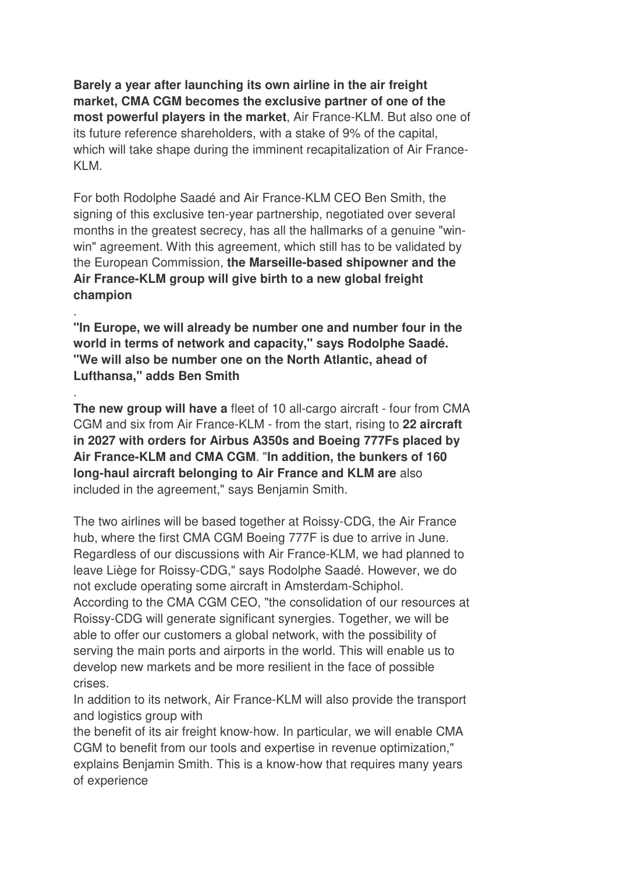**Barely a year after launching its own airline in the air freight market, CMA CGM becomes the exclusive partner of one of the most powerful players in the market**, Air France-KLM. But also one of its future reference shareholders, with a stake of 9% of the capital, which will take shape during the imminent recapitalization of Air France-KLM.

For both Rodolphe Saadé and Air France-KLM CEO Ben Smith, the signing of this exclusive ten-year partnership, negotiated over several months in the greatest secrecy, has all the hallmarks of a genuine "winwin" agreement. With this agreement, which still has to be validated by the European Commission, **the Marseille-based shipowner and the Air France-KLM group will give birth to a new global freight champion**

**"In Europe, we will already be number one and number four in the world in terms of network and capacity," says Rodolphe Saadé. "We will also be number one on the North Atlantic, ahead of Lufthansa," adds Ben Smith**

.

.

**The new group will have a** fleet of 10 all-cargo aircraft - four from CMA CGM and six from Air France-KLM - from the start, rising to **22 aircraft in 2027 with orders for Airbus A350s and Boeing 777Fs placed by Air France-KLM and CMA CGM**. "**In addition, the bunkers of 160 long-haul aircraft belonging to Air France and KLM are** also included in the agreement," says Benjamin Smith.

The two airlines will be based together at Roissy-CDG, the Air France hub, where the first CMA CGM Boeing 777F is due to arrive in June. Regardless of our discussions with Air France-KLM, we had planned to leave Liège for Roissy-CDG," says Rodolphe Saadé. However, we do not exclude operating some aircraft in Amsterdam-Schiphol. According to the CMA CGM CEO, "the consolidation of our resources at Roissy-CDG will generate significant synergies. Together, we will be able to offer our customers a global network, with the possibility of serving the main ports and airports in the world. This will enable us to develop new markets and be more resilient in the face of possible crises.

In addition to its network, Air France-KLM will also provide the transport and logistics group with

the benefit of its air freight know-how. In particular, we will enable CMA CGM to benefit from our tools and expertise in revenue optimization," explains Benjamin Smith. This is a know-how that requires many years of experience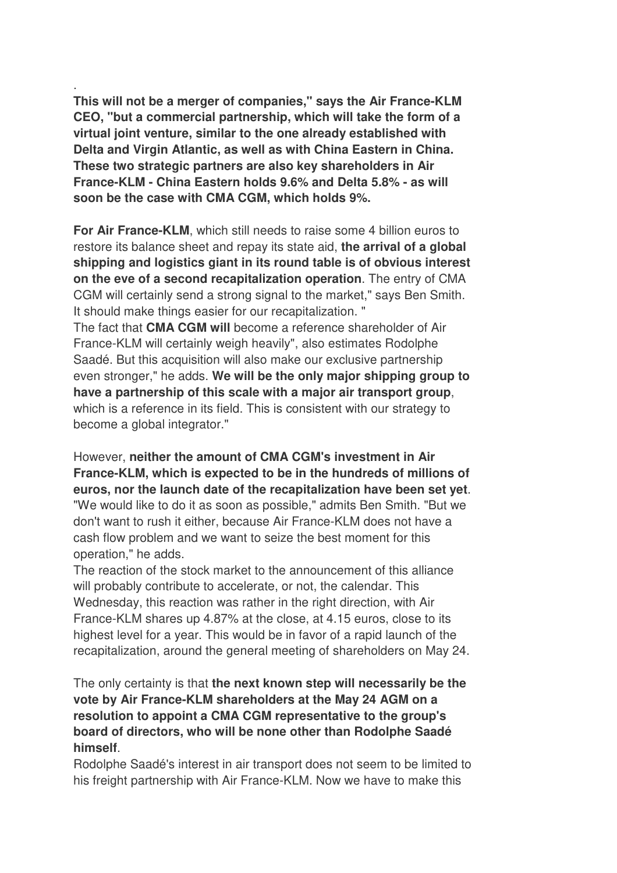. **This will not be a merger of companies," says the Air France-KLM CEO, "but a commercial partnership, which will take the form of a virtual joint venture, similar to the one already established with Delta and Virgin Atlantic, as well as with China Eastern in China. These two strategic partners are also key shareholders in Air France-KLM - China Eastern holds 9.6% and Delta 5.8% - as will soon be the case with CMA CGM, which holds 9%.**

**For Air France-KLM**, which still needs to raise some 4 billion euros to restore its balance sheet and repay its state aid, **the arrival of a global shipping and logistics giant in its round table is of obvious interest on the eve of a second recapitalization operation**. The entry of CMA CGM will certainly send a strong signal to the market," says Ben Smith. It should make things easier for our recapitalization. "

The fact that **CMA CGM will** become a reference shareholder of Air France-KLM will certainly weigh heavily", also estimates Rodolphe Saadé. But this acquisition will also make our exclusive partnership even stronger," he adds. **We will be the only major shipping group to have a partnership of this scale with a major air transport group**, which is a reference in its field. This is consistent with our strategy to become a global integrator."

However, **neither the amount of CMA CGM's investment in Air France-KLM, which is expected to be in the hundreds of millions of euros, nor the launch date of the recapitalization have been set yet**. "We would like to do it as soon as possible," admits Ben Smith. "But we don't want to rush it either, because Air France-KLM does not have a cash flow problem and we want to seize the best moment for this operation," he adds.

The reaction of the stock market to the announcement of this alliance will probably contribute to accelerate, or not, the calendar. This Wednesday, this reaction was rather in the right direction, with Air France-KLM shares up 4.87% at the close, at 4.15 euros, close to its highest level for a year. This would be in favor of a rapid launch of the recapitalization, around the general meeting of shareholders on May 24.

The only certainty is that **the next known step will necessarily be the vote by Air France-KLM shareholders at the May 24 AGM on a resolution to appoint a CMA CGM representative to the group's board of directors, who will be none other than Rodolphe Saadé himself**.

Rodolphe Saadé's interest in air transport does not seem to be limited to his freight partnership with Air France-KLM. Now we have to make this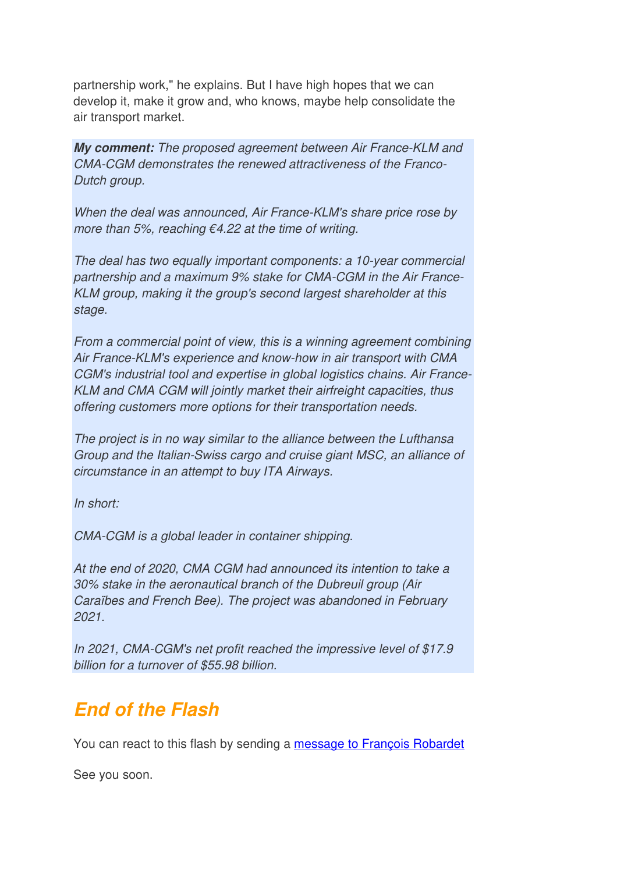partnership work," he explains. But I have high hopes that we can develop it, make it grow and, who knows, maybe help consolidate the air transport market.

**My comment:** The proposed agreement between Air France-KLM and CMA-CGM demonstrates the renewed attractiveness of the Franco-Dutch group.

When the deal was announced, Air France-KLM's share price rose by more than 5%, reaching  $\epsilon$ 4.22 at the time of writing.

The deal has two equally important components: a 10-year commercial partnership and a maximum 9% stake for CMA-CGM in the Air France-KLM group, making it the group's second largest shareholder at this stage.

From a commercial point of view, this is a winning agreement combining Air France-KLM's experience and know-how in air transport with CMA CGM's industrial tool and expertise in global logistics chains. Air France-KLM and CMA CGM will jointly market their airfreight capacities, thus offering customers more options for their transportation needs.

The project is in no way similar to the alliance between the Lufthansa Group and the Italian-Swiss cargo and cruise giant MSC, an alliance of circumstance in an attempt to buy ITA Airways.

In short:

CMA-CGM is a global leader in container shipping.

At the end of 2020, CMA CGM had announced its intention to take a 30% stake in the aeronautical branch of the Dubreuil group (Air Caraïbes and French Bee). The project was abandoned in February 2021.

In 2021, CMA-CGM's net profit reached the impressive level of \$17.9 billion for a turnover of \$55.98 billion.

## **End of the Flash**

You can react to this flash by sending a message to François Robardet

See you soon.